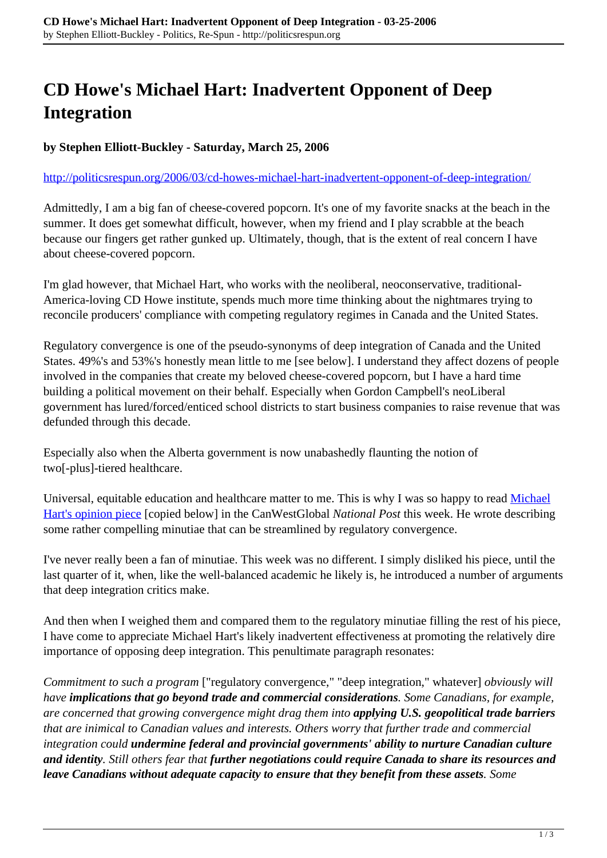## **CD Howe's Michael Hart: Inadvertent Opponent of Deep Integration**

**by Stephen Elliott-Buckley - Saturday, March 25, 2006**

## <http://politicsrespun.org/2006/03/cd-howes-michael-hart-inadvertent-opponent-of-deep-integration/>

Admittedly, I am a big fan of cheese-covered popcorn. It's one of my favorite snacks at the beach in the summer. It does get somewhat difficult, however, when my friend and I play scrabble at the beach because our fingers get rather gunked up. Ultimately, though, that is the extent of real concern I have about cheese-covered popcorn.

I'm glad however, that Michael Hart, who works with the neoliberal, neoconservative, traditional-America-loving CD Howe institute, spends much more time thinking about the nightmares trying to reconcile producers' compliance with competing regulatory regimes in Canada and the United States.

Regulatory convergence is one of the pseudo-synonyms of deep integration of Canada and the United States. 49%'s and 53%'s honestly mean little to me [see below]. I understand they affect dozens of people involved in the companies that create my beloved cheese-covered popcorn, but I have a hard time building a political movement on their behalf. Especially when Gordon Campbell's neoLiberal government has lured/forced/enticed school districts to start business companies to raise revenue that was defunded through this decade.

Especially also when the Alberta government is now unabashedly flaunting the notion of two[-plus]-tiered healthcare.

Universal, equitable education and healthcare matter to me. This is why I was so happy to read [Michael](http://www.canada.com/nationalpost/financialpost/story.html?id=4c6b32e0-35c3-4e5a-bf21-171c074f39e3) [Hart's opinion piece](http://www.canada.com/nationalpost/financialpost/story.html?id=4c6b32e0-35c3-4e5a-bf21-171c074f39e3) [copied below] in the CanWestGlobal *National Post* this week. He wrote describing some rather compelling minutiae that can be streamlined by regulatory convergence.

I've never really been a fan of minutiae. This week was no different. I simply disliked his piece, until the last quarter of it, when, like the well-balanced academic he likely is, he introduced a number of arguments that deep integration critics make.

And then when I weighed them and compared them to the regulatory minutiae filling the rest of his piece, I have come to appreciate Michael Hart's likely inadvertent effectiveness at promoting the relatively dire importance of opposing deep integration. This penultimate paragraph resonates:

*Commitment to such a program* ["regulatory convergence," "deep integration," whatever] *obviously will have implications that go beyond trade and commercial considerations. Some Canadians, for example, are concerned that growing convergence might drag them into applying U.S. geopolitical trade barriers that are inimical to Canadian values and interests. Others worry that further trade and commercial integration could undermine federal and provincial governments' ability to nurture Canadian culture and identity. Still others fear that further negotiations could require Canada to share its resources and leave Canadians without adequate capacity to ensure that they benefit from these assets. Some*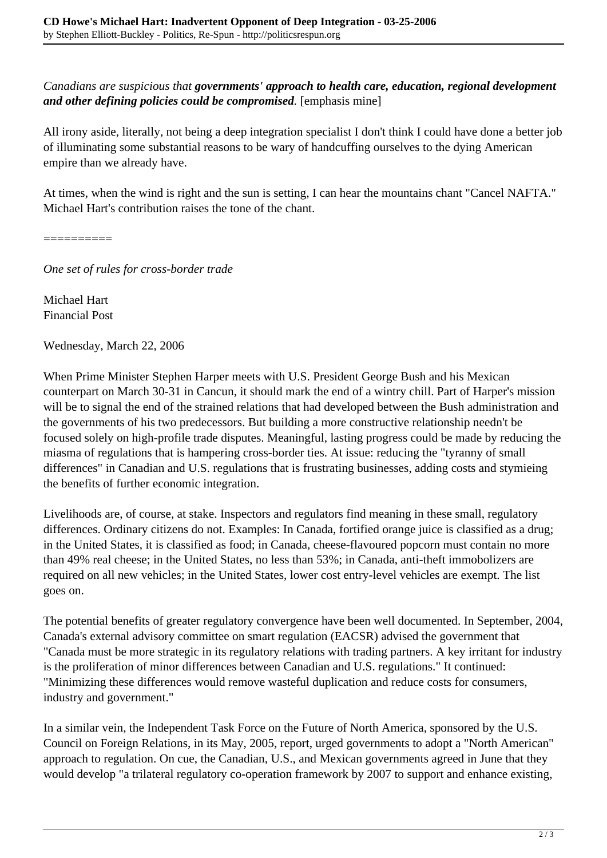*Canadians are suspicious that governments' approach to health care, education, regional development and other defining policies could be compromised.* [emphasis mine]

All irony aside, literally, not being a deep integration specialist I don't think I could have done a better job of illuminating some substantial reasons to be wary of handcuffing ourselves to the dying American empire than we already have.

At times, when the wind is right and the sun is setting, I can hear the mountains chant "Cancel NAFTA." Michael Hart's contribution raises the tone of the chant.

==========

*One set of rules for cross-border trade*

Michael Hart Financial Post

Wednesday, March 22, 2006

When Prime Minister Stephen Harper meets with U.S. President George Bush and his Mexican counterpart on March 30-31 in Cancun, it should mark the end of a wintry chill. Part of Harper's mission will be to signal the end of the strained relations that had developed between the Bush administration and the governments of his two predecessors. But building a more constructive relationship needn't be focused solely on high-profile trade disputes. Meaningful, lasting progress could be made by reducing the miasma of regulations that is hampering cross-border ties. At issue: reducing the "tyranny of small differences" in Canadian and U.S. regulations that is frustrating businesses, adding costs and stymieing the benefits of further economic integration.

Livelihoods are, of course, at stake. Inspectors and regulators find meaning in these small, regulatory differences. Ordinary citizens do not. Examples: In Canada, fortified orange juice is classified as a drug; in the United States, it is classified as food; in Canada, cheese-flavoured popcorn must contain no more than 49% real cheese; in the United States, no less than 53%; in Canada, anti-theft immobolizers are required on all new vehicles; in the United States, lower cost entry-level vehicles are exempt. The list goes on.

The potential benefits of greater regulatory convergence have been well documented. In September, 2004, Canada's external advisory committee on smart regulation (EACSR) advised the government that "Canada must be more strategic in its regulatory relations with trading partners. A key irritant for industry is the proliferation of minor differences between Canadian and U.S. regulations." It continued: "Minimizing these differences would remove wasteful duplication and reduce costs for consumers, industry and government."

In a similar vein, the Independent Task Force on the Future of North America, sponsored by the U.S. Council on Foreign Relations, in its May, 2005, report, urged governments to adopt a "North American" approach to regulation. On cue, the Canadian, U.S., and Mexican governments agreed in June that they would develop "a trilateral regulatory co-operation framework by 2007 to support and enhance existing,